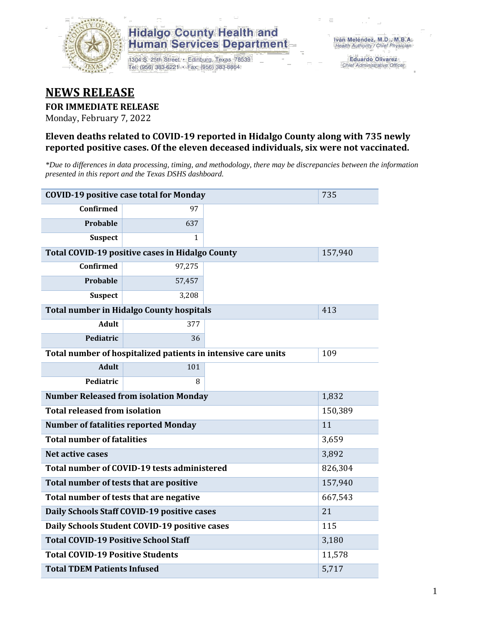

1304 S. 25th Street · Edinburg, Texas 78539 Tel: (956) 383-6221 · Fax: (956) 383-8864

**Eduardo Olivarez** Chief Administrative Officer

#### **NEWS RELEASE**

#### **FOR IMMEDIATE RELEASE**

Monday, February 7, 2022

#### **Eleven deaths related to COVID-19 reported in Hidalgo County along with 735 newly reported positive cases. Of the eleven deceased individuals, six were not vaccinated.**

*\*Due to differences in data processing, timing, and methodology, there may be discrepancies between the information presented in this report and the Texas DSHS dashboard.*

|                                             | <b>COVID-19 positive case total for Monday</b>                |        | 735     |
|---------------------------------------------|---------------------------------------------------------------|--------|---------|
| <b>Confirmed</b>                            | 97                                                            |        |         |
| <b>Probable</b>                             | 637                                                           |        |         |
| <b>Suspect</b>                              | $\mathbf{1}$                                                  |        |         |
|                                             | Total COVID-19 positive cases in Hidalgo County               |        | 157,940 |
| <b>Confirmed</b>                            | 97,275                                                        |        |         |
| Probable                                    | 57,457                                                        |        |         |
| <b>Suspect</b>                              | 3,208                                                         |        |         |
|                                             | <b>Total number in Hidalgo County hospitals</b>               |        | 413     |
| <b>Adult</b>                                | 377                                                           |        |         |
| Pediatric                                   | 36                                                            |        |         |
|                                             | Total number of hospitalized patients in intensive care units | 109    |         |
| <b>Adult</b>                                | 101                                                           |        |         |
| Pediatric                                   | 8                                                             |        |         |
|                                             | <b>Number Released from isolation Monday</b>                  |        | 1,832   |
| <b>Total released from isolation</b>        |                                                               |        | 150,389 |
| <b>Number of fatalities reported Monday</b> |                                                               |        | 11      |
| <b>Total number of fatalities</b>           |                                                               |        | 3,659   |
| Net active cases                            |                                                               |        | 3,892   |
|                                             | Total number of COVID-19 tests administered                   |        | 826,304 |
| Total number of tests that are positive     |                                                               |        | 157,940 |
|                                             | Total number of tests that are negative                       |        | 667,543 |
|                                             | Daily Schools Staff COVID-19 positive cases                   |        | 21      |
|                                             | Daily Schools Student COVID-19 positive cases                 |        | 115     |
| <b>Total COVID-19 Positive School Staff</b> |                                                               |        | 3,180   |
| <b>Total COVID-19 Positive Students</b>     |                                                               | 11,578 |         |
| <b>Total TDEM Patients Infused</b>          |                                                               | 5,717  |         |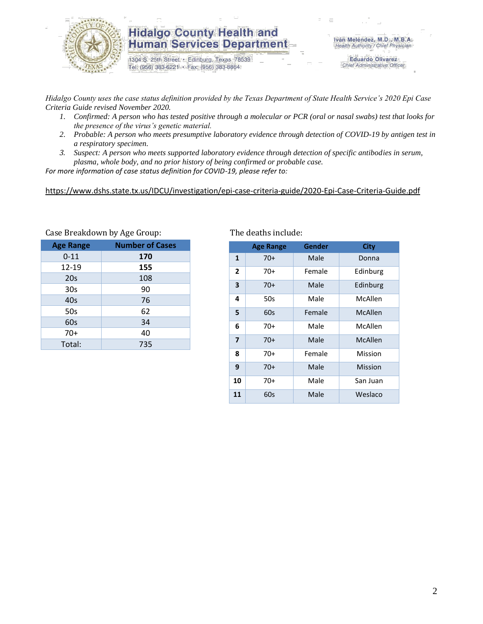

1304 S. 25th Street · Edinburg, Texas 78539 Tel: (956) 383-6221 · Fax: (956) 383-8864

**Eduardo Olivarez** Chief Administrative Officer

*Hidalgo County uses the case status definition provided by the Texas Department of State Health Service's 2020 Epi Case Criteria Guide revised November 2020.*

- *1. Confirmed: A person who has tested positive through a molecular or PCR (oral or nasal swabs) test that looks for the presence of the virus's genetic material.*
- *2. Probable: A person who meets presumptive laboratory evidence through detection of COVID-19 by antigen test in a respiratory specimen.*
- *3. Suspect: A person who meets supported laboratory evidence through detection of specific antibodies in serum, plasma, whole body, and no prior history of being confirmed or probable case.*

*For more information of case status definition for COVID-19, please refer to:*

<https://www.dshs.state.tx.us/IDCU/investigation/epi-case-criteria-guide/2020-Epi-Case-Criteria-Guide.pdf>

| $\frac{1}{2}$    |                        |  |  |  |  |  |  |
|------------------|------------------------|--|--|--|--|--|--|
| <b>Age Range</b> | <b>Number of Cases</b> |  |  |  |  |  |  |
| $0 - 11$         | 170                    |  |  |  |  |  |  |
| 12-19            | 155                    |  |  |  |  |  |  |
| 20s              | 108                    |  |  |  |  |  |  |
| 30 <sub>s</sub>  | 90                     |  |  |  |  |  |  |
| 40s              | 76                     |  |  |  |  |  |  |
| 50s              | 62                     |  |  |  |  |  |  |
| 60s              | 34                     |  |  |  |  |  |  |
| $70+$            | 40                     |  |  |  |  |  |  |
| Total:           | 735                    |  |  |  |  |  |  |

Case Breakdown by Age Group: The deaths include:

|                         | <b>Age Range</b> | Gender | <b>City</b> |
|-------------------------|------------------|--------|-------------|
| $\mathbf{1}$            | $70+$            | Male   | Donna       |
| 2                       | 70+              | Female | Edinburg    |
| 3                       | 70+              | Male   | Edinburg    |
| 4                       | 50s              | Male   | McAllen     |
| 5                       | 60s              | Female | McAllen     |
| 6                       | 70+              | Male   | McAllen     |
| $\overline{\mathbf{z}}$ | 70+              | Male   | McAllen     |
| 8                       | 70+              | Female | Mission     |
| 9                       | 70+              | Male   | Mission     |
| 10                      | 70+              | Male   | San Juan    |
| 11                      | 60s              | Male   | Weslaco     |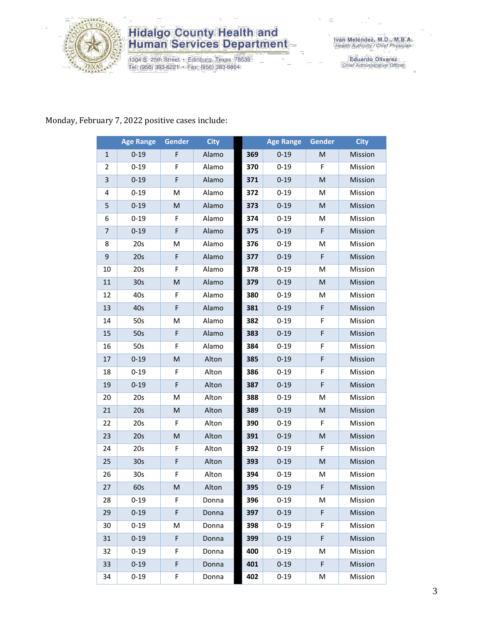

1304 S. 25th Street · Edinburg, Texas 78539<br>Tel: (956) 383-6221 · Fax: (956) 383-8864

Eduardo Olivarez<br>Chief Administrative Officer

#### Monday, February 7, 2022 positive cases include:

|                | <b>Age Range</b> | <b>Gender</b>                                                                                              | <b>City</b> |     | <b>Age Range</b> | Gender | <b>City</b> |
|----------------|------------------|------------------------------------------------------------------------------------------------------------|-------------|-----|------------------|--------|-------------|
| $\mathbf{1}$   | $0 - 19$         | F                                                                                                          | Alamo       | 369 | $0 - 19$         | M      | Mission     |
| 2              | $0 - 19$         | F                                                                                                          | Alamo       | 370 | $0 - 19$         | F      | Mission     |
| 3              | $0 - 19$         | F                                                                                                          | Alamo       | 371 | $0 - 19$         | M      | Mission     |
| 4              | $0 - 19$         | M                                                                                                          | Alamo       | 372 | $0 - 19$         | M      | Mission     |
| 5              | $0 - 19$         | M                                                                                                          | Alamo       | 373 | $0 - 19$         | M      | Mission     |
| 6              | $0 - 19$         | F                                                                                                          | Alamo       | 374 | $0 - 19$         | M      | Mission     |
| $\overline{7}$ | $0 - 19$         | F                                                                                                          | Alamo       | 375 | $0 - 19$         | F      | Mission     |
| 8              | 20s              | M                                                                                                          | Alamo       | 376 | $0 - 19$         | M      | Mission     |
| 9              | 20s              | $\mathsf F$                                                                                                | Alamo       | 377 | $0 - 19$         | F      | Mission     |
| 10             | 20s              | F                                                                                                          | Alamo       | 378 | $0 - 19$         | M      | Mission     |
| 11             | 30 <sub>s</sub>  | M                                                                                                          | Alamo       | 379 | $0 - 19$         | M      | Mission     |
| 12             | 40s              | F                                                                                                          | Alamo       | 380 | $0 - 19$         | M      | Mission     |
| 13             | 40s              | F                                                                                                          | Alamo       | 381 | $0 - 19$         | F      | Mission     |
| 14             | 50s              | M                                                                                                          | Alamo       | 382 | $0 - 19$         | F      | Mission     |
| 15             | 50s              | F                                                                                                          | Alamo       | 383 | $0 - 19$         | F      | Mission     |
| 16             | 50s              | F                                                                                                          | Alamo       | 384 | $0 - 19$         | F      | Mission     |
| 17             | $0 - 19$         | M                                                                                                          | Alton       | 385 | $0 - 19$         | F      | Mission     |
| 18             | $0 - 19$         | F                                                                                                          | Alton       | 386 | $0 - 19$         | F      | Mission     |
| 19             | $0 - 19$         | F                                                                                                          | Alton       | 387 | $0 - 19$         | F      | Mission     |
| 20             | 20s              | M                                                                                                          | Alton       | 388 | $0 - 19$         | M      | Mission     |
| 21             | 20s              | M                                                                                                          | Alton       | 389 | $0 - 19$         | M      | Mission     |
| 22             | 20s              | F                                                                                                          | Alton       | 390 | $0 - 19$         | F.     | Mission     |
| 23             | 20s              | M                                                                                                          | Alton       | 391 | $0 - 19$         | M      | Mission     |
| 24             | 20s              | F                                                                                                          | Alton       | 392 | $0 - 19$         | F      | Mission     |
| 25             | 30 <sub>s</sub>  | F                                                                                                          | Alton       | 393 | $0 - 19$         | M      | Mission     |
| 26             | 30s              | F                                                                                                          | Alton       | 394 | $0 - 19$         | M      | Mission     |
| 27             | 60s              | $\mathsf{M}% _{T}=\mathsf{M}_{T}\!\left( a,b\right) ,\ \mathsf{M}_{T}=\mathsf{M}_{T}\!\left( a,b\right) ,$ | Alton       | 395 | $0 - 19$         | F      | Mission     |
| 28             | $0 - 19$         | F.                                                                                                         | Donna       | 396 | $0 - 19$         | M      | Mission     |
| 29             | $0 - 19$         | F                                                                                                          | Donna       | 397 | $0 - 19$         | F      | Mission     |
| 30             | $0 - 19$         | M                                                                                                          | Donna       | 398 | $0 - 19$         | F      | Mission     |
| 31             | $0 - 19$         | F                                                                                                          | Donna       | 399 | $0 - 19$         | F      | Mission     |
| 32             | $0 - 19$         | F                                                                                                          | Donna       | 400 | $0 - 19$         | M      | Mission     |
| 33             | $0 - 19$         | F                                                                                                          | Donna       | 401 | $0 - 19$         | F      | Mission     |
| 34             | $0 - 19$         | F                                                                                                          | Donna       | 402 | $0 - 19$         | M      | Mission     |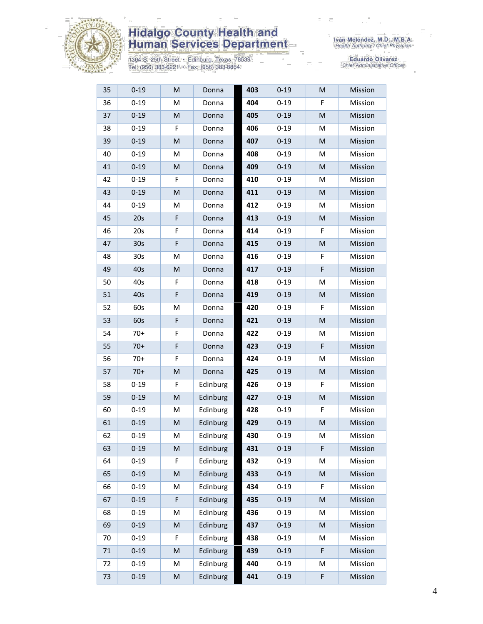

1304 S. 25th Street • Edinburg, Texas 78539<br>Tel: (956) 383-6221 • Fax: (956) 383-8864

| 35 | $0 - 19$        | M | Donna    | 403 | $0 - 19$ | M | Mission |
|----|-----------------|---|----------|-----|----------|---|---------|
| 36 | $0 - 19$        | M | Donna    | 404 | $0 - 19$ | F | Mission |
| 37 | $0 - 19$        | M | Donna    | 405 | $0 - 19$ | M | Mission |
| 38 | $0 - 19$        | F | Donna    | 406 | $0 - 19$ | M | Mission |
| 39 | $0 - 19$        | M | Donna    | 407 | $0 - 19$ | M | Mission |
| 40 | $0 - 19$        | М | Donna    | 408 | $0 - 19$ | M | Mission |
| 41 | $0 - 19$        | M | Donna    | 409 | $0 - 19$ | M | Mission |
| 42 | $0 - 19$        | F | Donna    | 410 | $0 - 19$ | м | Mission |
| 43 | $0 - 19$        | M | Donna    | 411 | $0 - 19$ | M | Mission |
| 44 | $0 - 19$        | M | Donna    | 412 | $0 - 19$ | M | Mission |
| 45 | 20s             | F | Donna    | 413 | $0 - 19$ | M | Mission |
| 46 | 20s             | F | Donna    | 414 | $0 - 19$ | F | Mission |
| 47 | 30 <sub>s</sub> | F | Donna    | 415 | $0 - 19$ | M | Mission |
| 48 | 30 <sub>s</sub> | M | Donna    | 416 | $0 - 19$ | F | Mission |
| 49 | 40s             | M | Donna    | 417 | $0 - 19$ | F | Mission |
| 50 | 40s             | F | Donna    | 418 | $0 - 19$ | M | Mission |
| 51 | 40s             | F | Donna    | 419 | $0 - 19$ | M | Mission |
| 52 | 60s             | M | Donna    | 420 | $0 - 19$ | F | Mission |
| 53 | 60s             | F | Donna    | 421 | $0 - 19$ | M | Mission |
| 54 | $70+$           | F | Donna    | 422 | $0 - 19$ | M | Mission |
| 55 | $70+$           | F | Donna    | 423 | $0 - 19$ | F | Mission |
| 56 | $70+$           | F | Donna    | 424 | $0 - 19$ | M | Mission |
| 57 | $70+$           | M | Donna    | 425 | $0 - 19$ | M | Mission |
| 58 | $0 - 19$        | F | Edinburg | 426 | $0 - 19$ | F | Mission |
| 59 | $0 - 19$        | M | Edinburg | 427 | $0 - 19$ | M | Mission |
| 60 | $0 - 19$        | М | Edinburg | 428 | $0 - 19$ | F | Mission |
| 61 | $0 - 19$        | M | Edinburg | 429 | $0 - 19$ | M | Mission |
| 62 | $0 - 19$        | M | Edinburg | 430 | $0 - 19$ | M | Mission |
| 63 | $0 - 19$        | M | Edinburg | 431 | $0 - 19$ | F | Mission |
| 64 | $0 - 19$        | F | Edinburg | 432 | $0 - 19$ | M | Mission |
| 65 | $0 - 19$        | M | Edinburg | 433 | $0 - 19$ | M | Mission |
| 66 | $0 - 19$        | M | Edinburg | 434 | $0 - 19$ | F | Mission |
| 67 | $0 - 19$        | F | Edinburg | 435 | $0 - 19$ | M | Mission |
| 68 | $0 - 19$        | M | Edinburg | 436 | $0 - 19$ | M | Mission |
| 69 | $0 - 19$        | M | Edinburg | 437 | $0 - 19$ | M | Mission |
| 70 | $0 - 19$        | F | Edinburg | 438 | $0 - 19$ | M | Mission |
| 71 | $0 - 19$        | M | Edinburg | 439 | $0 - 19$ | F | Mission |
| 72 | $0 - 19$        | M | Edinburg | 440 | $0 - 19$ | M | Mission |
| 73 | $0 - 19$        | M | Edinburg | 441 | $0 - 19$ | F | Mission |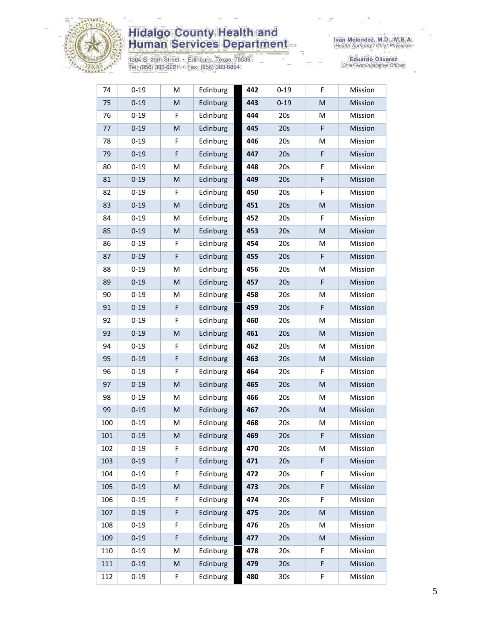

1304 S. 25th Street • Edinburg, Texas 78539<br>Tel: (956) 383-6221 • Fax: (956) 383-8864

| 74  | $0 - 19$ | M         | Edinburg | 442 | $0 - 19$ | F         | Mission |
|-----|----------|-----------|----------|-----|----------|-----------|---------|
| 75  | $0 - 19$ | M         | Edinburg | 443 | $0 - 19$ | ${\sf M}$ | Mission |
| 76  | $0 - 19$ | F         | Edinburg | 444 | 20s      | M         | Mission |
| 77  | $0 - 19$ | M         | Edinburg | 445 | 20s      | F         | Mission |
| 78  | $0 - 19$ | F         | Edinburg | 446 | 20s      | M         | Mission |
| 79  | $0 - 19$ | F         | Edinburg | 447 | 20s      | F         | Mission |
| 80  | $0 - 19$ | M         | Edinburg | 448 | 20s      | F         | Mission |
| 81  | $0 - 19$ | M         | Edinburg | 449 | 20s      | F         | Mission |
| 82  | $0 - 19$ | F         | Edinburg | 450 | 20s      | F         | Mission |
| 83  | $0 - 19$ | M         | Edinburg | 451 | 20s      | M         | Mission |
| 84  | $0 - 19$ | M         | Edinburg | 452 | 20s      | F         | Mission |
| 85  | $0 - 19$ | M         | Edinburg | 453 | 20s      | M         | Mission |
| 86  | $0 - 19$ | F         | Edinburg | 454 | 20s      | M         | Mission |
| 87  | $0 - 19$ | F         | Edinburg | 455 | 20s      | F         | Mission |
| 88  | $0 - 19$ | M         | Edinburg | 456 | 20s      | M         | Mission |
| 89  | $0 - 19$ | M         | Edinburg | 457 | 20s      | F         | Mission |
| 90  | $0 - 19$ | M         | Edinburg | 458 | 20s      | M         | Mission |
| 91  | $0 - 19$ | F         | Edinburg | 459 | 20s      | F         | Mission |
| 92  | $0 - 19$ | F         | Edinburg | 460 | 20s      | M         | Mission |
| 93  | $0 - 19$ | M         | Edinburg | 461 | 20s      | M         | Mission |
| 94  | $0 - 19$ | F         | Edinburg | 462 | 20s      | M         | Mission |
| 95  | $0 - 19$ | F         | Edinburg | 463 | 20s      | M         | Mission |
| 96  | $0 - 19$ | F         | Edinburg | 464 | 20s      | F         | Mission |
| 97  | $0 - 19$ | M         | Edinburg | 465 | 20s      | ${\sf M}$ | Mission |
| 98  | $0 - 19$ | M         | Edinburg | 466 | 20s      | M         | Mission |
| 99  | $0 - 19$ | ${\sf M}$ | Edinburg | 467 | 20s      | M         | Mission |
| 100 | $0 - 19$ | M         | Edinburg | 468 | 20s      | M         | Mission |
| 101 | $0 - 19$ | M         | Edinburg | 469 | 20s      | F         | Mission |
| 102 | $0 - 19$ | F         | Edinburg | 470 | 20s      | M         | Mission |
| 103 | $0 - 19$ | F         | Edinburg | 471 | 20s      | F         | Mission |
| 104 | $0 - 19$ | F         | Edinburg | 472 | 20s      | F         | Mission |
| 105 | $0 - 19$ | M         | Edinburg | 473 | 20s      | F         | Mission |
| 106 | $0 - 19$ | F         | Edinburg | 474 | 20s      | F         | Mission |
| 107 | $0 - 19$ | F         | Edinburg | 475 | 20s      | M         | Mission |
| 108 | $0 - 19$ | F         | Edinburg | 476 | 20s      | M         | Mission |
| 109 | $0 - 19$ | F         | Edinburg | 477 | 20s      | M         | Mission |
| 110 | $0 - 19$ | M         | Edinburg | 478 | 20s      | F         | Mission |
| 111 | $0 - 19$ | M         | Edinburg | 479 | 20s      | F         | Mission |
| 112 | $0 - 19$ | F         | Edinburg | 480 | 30s      | F         | Mission |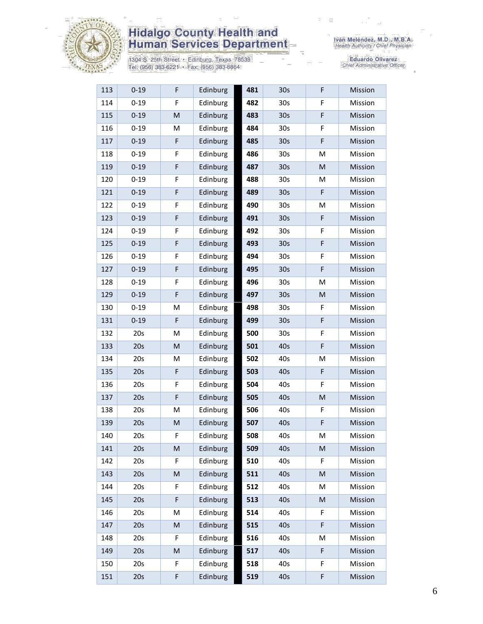

1304 S. 25th Street • Edinburg, Texas 78539<br>Tel: (956) 383-6221 • Fax: (956) 383-8864

Iván Meléndez, M.D., M.B.A.<br>Health Authority / Chief Physician

| 113 | $0 - 19$ | F           | Edinburg | 481 | 30 <sub>s</sub> | F         | Mission |
|-----|----------|-------------|----------|-----|-----------------|-----------|---------|
| 114 | $0 - 19$ | F           | Edinburg | 482 | 30 <sub>s</sub> | F         | Mission |
| 115 | $0 - 19$ | M           | Edinburg | 483 | 30 <sub>s</sub> | F         | Mission |
| 116 | $0 - 19$ | M           | Edinburg | 484 | 30s             | F         | Mission |
| 117 | $0 - 19$ | F           | Edinburg | 485 | 30 <sub>s</sub> | F         | Mission |
| 118 | $0 - 19$ | F           | Edinburg | 486 | 30 <sub>s</sub> | M         | Mission |
| 119 | $0 - 19$ | F           | Edinburg | 487 | 30 <sub>s</sub> | M         | Mission |
| 120 | $0 - 19$ | F           | Edinburg | 488 | 30 <sub>s</sub> | M         | Mission |
| 121 | $0 - 19$ | $\mathsf F$ | Edinburg | 489 | 30 <sub>s</sub> | F         | Mission |
| 122 | $0 - 19$ | F           | Edinburg | 490 | 30s             | M         | Mission |
| 123 | $0 - 19$ | $\mathsf F$ | Edinburg | 491 | 30 <sub>s</sub> | F         | Mission |
| 124 | $0 - 19$ | F           | Edinburg | 492 | 30s             | F         | Mission |
| 125 | $0 - 19$ | $\mathsf F$ | Edinburg | 493 | 30s             | F         | Mission |
| 126 | $0 - 19$ | F           | Edinburg | 494 | 30 <sub>s</sub> | F         | Mission |
| 127 | $0 - 19$ | $\mathsf F$ | Edinburg | 495 | 30 <sub>s</sub> | F         | Mission |
| 128 | $0 - 19$ | F           | Edinburg | 496 | 30s             | M         | Mission |
| 129 | $0 - 19$ | $\mathsf F$ | Edinburg | 497 | 30 <sub>s</sub> | M         | Mission |
| 130 | $0 - 19$ | М           | Edinburg | 498 | 30s             | F         | Mission |
| 131 | $0 - 19$ | F           | Edinburg | 499 | 30 <sub>s</sub> | F         | Mission |
| 132 | 20s      | M           | Edinburg | 500 | 30s             | F         | Mission |
| 133 | 20s      | M           | Edinburg | 501 | 40s             | F         | Mission |
| 134 | 20s      | M           | Edinburg | 502 | 40s             | M         | Mission |
| 135 | 20s      | $\mathsf F$ | Edinburg | 503 | 40s             | F         | Mission |
| 136 | 20s      | F           | Edinburg | 504 | 40s             | F         | Mission |
| 137 | 20s      | $\mathsf F$ | Edinburg | 505 | 40s             | ${\sf M}$ | Mission |
| 138 | 20s      | M           | Edinburg | 506 | 40s             | F         | Mission |
| 139 | 20s      | ${\sf M}$   | Edinburg | 507 | 40s             | F         | Mission |
| 140 | 20s      | F           | Edinburg | 508 | 40s             | M         | Mission |
| 141 | 20s      | ${\sf M}$   | Edinburg | 509 | 40s             | ${\sf M}$ | Mission |
| 142 | 20s      | F           | Edinburg | 510 | 40s             | F         | Mission |
| 143 | 20s      | M           | Edinburg | 511 | 40s             | M         | Mission |
| 144 | 20s      | F           | Edinburg | 512 | 40s             | M         | Mission |
| 145 | 20s      | F           | Edinburg | 513 | 40s             | ${\sf M}$ | Mission |
| 146 | 20s      | M           | Edinburg | 514 | 40s             | F         | Mission |
| 147 | 20s      | M           | Edinburg | 515 | 40s             | F         | Mission |
| 148 | 20s      | F           | Edinburg | 516 | 40s             | M         | Mission |
| 149 | 20s      | M           | Edinburg | 517 | 40s             | F         | Mission |
| 150 | 20s      | F           | Edinburg | 518 | 40s             | F         | Mission |
| 151 | 20s      | F           | Edinburg | 519 | 40s             | F         | Mission |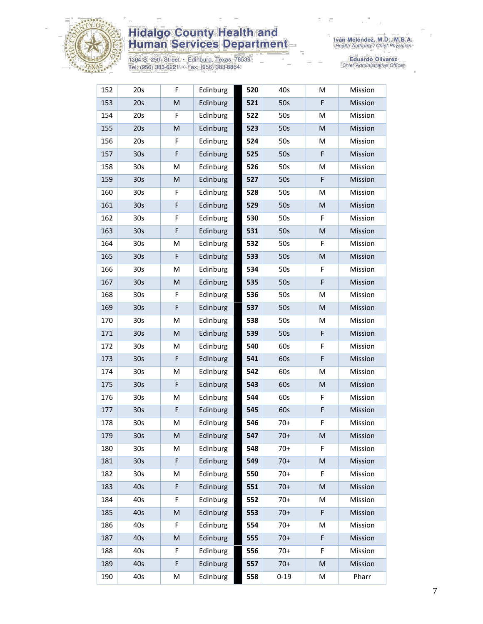

1304 S. 25th Street • Edinburg, Texas 78539<br>Tel: (956) 383-6221 • Fax: (956) 383-8864

| 152 | 20s             | F                                                                                                          | Edinburg | 520 | 40s      | M | Mission |
|-----|-----------------|------------------------------------------------------------------------------------------------------------|----------|-----|----------|---|---------|
| 153 | 20s             | M                                                                                                          | Edinburg | 521 | 50s      | F | Mission |
| 154 | 20s             | F                                                                                                          | Edinburg | 522 | 50s      | M | Mission |
| 155 | 20s             | $\mathsf{M}% _{T}=\mathsf{M}_{T}\!\left( a,b\right) ,\ \mathsf{M}_{T}=\mathsf{M}_{T}\!\left( a,b\right) ,$ | Edinburg | 523 | 50s      | M | Mission |
| 156 | 20s             | F                                                                                                          | Edinburg | 524 | 50s      | M | Mission |
| 157 | 30 <sub>s</sub> | F                                                                                                          | Edinburg | 525 | 50s      | F | Mission |
| 158 | 30 <sub>s</sub> | M                                                                                                          | Edinburg | 526 | 50s      | M | Mission |
| 159 | 30 <sub>s</sub> | ${\sf M}$                                                                                                  | Edinburg | 527 | 50s      | F | Mission |
| 160 | 30 <sub>s</sub> | F                                                                                                          | Edinburg | 528 | 50s      | M | Mission |
| 161 | 30 <sub>s</sub> | F                                                                                                          | Edinburg | 529 | 50s      | M | Mission |
| 162 | 30 <sub>s</sub> | F                                                                                                          | Edinburg | 530 | 50s      | F | Mission |
| 163 | 30 <sub>s</sub> | F                                                                                                          | Edinburg | 531 | 50s      | M | Mission |
| 164 | 30 <sub>s</sub> | M                                                                                                          | Edinburg | 532 | 50s      | F | Mission |
| 165 | 30 <sub>s</sub> | F                                                                                                          | Edinburg | 533 | 50s      | M | Mission |
| 166 | 30 <sub>s</sub> | M                                                                                                          | Edinburg | 534 | 50s      | F | Mission |
| 167 | 30 <sub>s</sub> | ${\sf M}$                                                                                                  | Edinburg | 535 | 50s      | F | Mission |
| 168 | 30s             | F                                                                                                          | Edinburg | 536 | 50s      | M | Mission |
| 169 | 30 <sub>s</sub> | F                                                                                                          | Edinburg | 537 | 50s      | м | Mission |
| 170 | 30 <sub>s</sub> | M                                                                                                          | Edinburg | 538 | 50s      | M | Mission |
| 171 | 30 <sub>s</sub> | ${\sf M}$                                                                                                  | Edinburg | 539 | 50s      | F | Mission |
| 172 | 30 <sub>s</sub> | M                                                                                                          | Edinburg | 540 | 60s      | F | Mission |
| 173 | 30 <sub>s</sub> | F                                                                                                          | Edinburg | 541 | 60s      | F | Mission |
| 174 | 30 <sub>s</sub> | M                                                                                                          | Edinburg | 542 | 60s      | M | Mission |
| 175 | 30 <sub>s</sub> | F                                                                                                          | Edinburg | 543 | 60s      | M | Mission |
| 176 | 30s             | M                                                                                                          | Edinburg | 544 | 60s      | F | Mission |
| 177 | 30 <sub>s</sub> | $\mathsf F$                                                                                                | Edinburg | 545 | 60s      | F | Mission |
| 178 | 30 <sub>s</sub> | M                                                                                                          | Edinburg | 546 | $70+$    | F | Mission |
| 179 | 30 <sub>s</sub> | M                                                                                                          | Edinburg | 547 | $70+$    | M | Mission |
| 180 | 30 <sub>s</sub> | M                                                                                                          | Edinburg | 548 | $70+$    | F | Mission |
| 181 | 30 <sub>s</sub> | F                                                                                                          | Edinburg | 549 | $70+$    | M | Mission |
| 182 | 30s             | M                                                                                                          | Edinburg | 550 | $70+$    | F | Mission |
| 183 | 40s             | F                                                                                                          | Edinburg | 551 | $70+$    | M | Mission |
| 184 | 40s             | F                                                                                                          | Edinburg | 552 | $70+$    | M | Mission |
| 185 | 40s             | ${\sf M}$                                                                                                  | Edinburg | 553 | $70+$    | F | Mission |
| 186 | 40s             | F                                                                                                          | Edinburg | 554 | $70+$    | м | Mission |
| 187 | 40s             | M                                                                                                          | Edinburg | 555 | $70+$    | F | Mission |
| 188 | 40s             | F                                                                                                          | Edinburg | 556 | $70+$    | F | Mission |
| 189 | 40s             | F                                                                                                          | Edinburg | 557 | $70+$    | M | Mission |
| 190 | 40s             | M                                                                                                          | Edinburg | 558 | $0 - 19$ | M | Pharr   |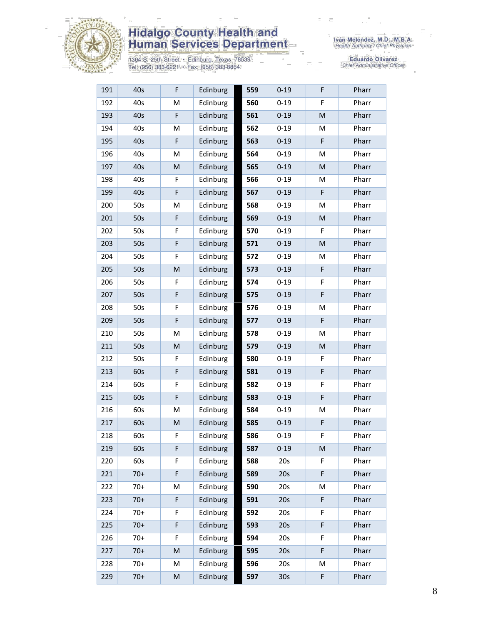

1304 S. 25th Street • Edinburg, Texas 78539<br>Tel: (956) 383-6221 • Fax: (956) 383-8864

| 191 | 40s   | F | Edinburg | 559 | $0 - 19$        | F         | Pharr |
|-----|-------|---|----------|-----|-----------------|-----------|-------|
| 192 | 40s   | M | Edinburg | 560 | $0 - 19$        | F         | Pharr |
| 193 | 40s   | F | Edinburg | 561 | $0 - 19$        | M         | Pharr |
| 194 | 40s   | M | Edinburg | 562 | $0 - 19$        | M         | Pharr |
| 195 | 40s   | F | Edinburg | 563 | $0 - 19$        | F         | Pharr |
| 196 | 40s   | M | Edinburg | 564 | $0 - 19$        | M         | Pharr |
| 197 | 40s   | M | Edinburg | 565 | $0 - 19$        | M         | Pharr |
| 198 | 40s   | F | Edinburg | 566 | $0 - 19$        | M         | Pharr |
| 199 | 40s   | F | Edinburg | 567 | $0 - 19$        | F         | Pharr |
| 200 | 50s   | М | Edinburg | 568 | $0 - 19$        | M         | Pharr |
| 201 | 50s   | F | Edinburg | 569 | $0 - 19$        | M         | Pharr |
| 202 | 50s   | F | Edinburg | 570 | $0 - 19$        | F         | Pharr |
| 203 | 50s   | F | Edinburg | 571 | $0 - 19$        | ${\sf M}$ | Pharr |
| 204 | 50s   | F | Edinburg | 572 | $0 - 19$        | M         | Pharr |
| 205 | 50s   | M | Edinburg | 573 | $0 - 19$        | F         | Pharr |
| 206 | 50s   | F | Edinburg | 574 | $0 - 19$        | F         | Pharr |
| 207 | 50s   | F | Edinburg | 575 | $0 - 19$        | F         | Pharr |
| 208 | 50s   | F | Edinburg | 576 | $0 - 19$        | M         | Pharr |
| 209 | 50s   | F | Edinburg | 577 | $0 - 19$        | F         | Pharr |
| 210 | 50s   | M | Edinburg | 578 | $0 - 19$        | M         | Pharr |
| 211 | 50s   | M | Edinburg | 579 | $0 - 19$        | M         | Pharr |
| 212 | 50s   | F | Edinburg | 580 | $0 - 19$        | F         | Pharr |
| 213 | 60s   | F | Edinburg | 581 | $0 - 19$        | F         | Pharr |
| 214 | 60s   | F | Edinburg | 582 | $0 - 19$        | F         | Pharr |
| 215 | 60s   | F | Edinburg | 583 | $0 - 19$        | F         | Pharr |
| 216 | 60s   | M | Edinburg | 584 | $0 - 19$        | M         | Pharr |
| 217 | 60s   | M | Edinburg | 585 | $0 - 19$        | F         | Pharr |
| 218 | 60s   | F | Edinburg | 586 | $0 - 19$        | F         | Pharr |
| 219 | 60s   | F | Edinburg | 587 | $0 - 19$        | M         | Pharr |
| 220 | 60s   | F | Edinburg | 588 | 20s             | F         | Pharr |
| 221 | $70+$ | F | Edinburg | 589 | 20s             | F         | Pharr |
| 222 | $70+$ | M | Edinburg | 590 | 20s             | M         | Pharr |
| 223 | $70+$ | F | Edinburg | 591 | 20s             | F         | Pharr |
| 224 | $70+$ | F | Edinburg | 592 | 20s             | F         | Pharr |
| 225 | $70+$ | F | Edinburg | 593 | 20s             | F         | Pharr |
| 226 | $70+$ | F | Edinburg | 594 | 20s             | F         | Pharr |
| 227 | $70+$ | M | Edinburg | 595 | 20s             | F         | Pharr |
| 228 | $70+$ | M | Edinburg | 596 | 20s             | M         | Pharr |
| 229 | $70+$ | M | Edinburg | 597 | 30 <sub>s</sub> | F         | Pharr |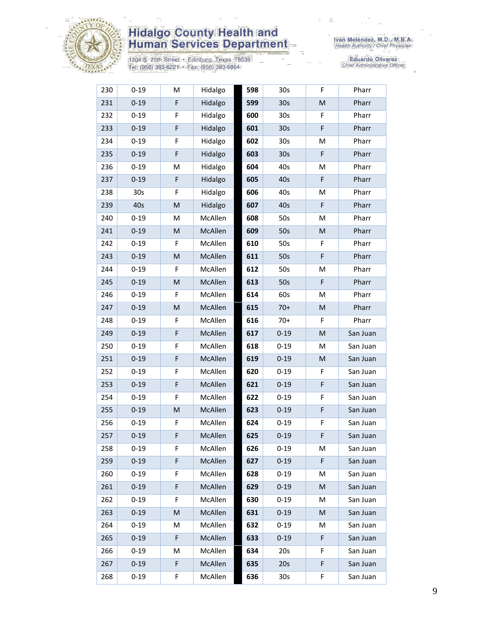

1304 S. 25th Street • Edinburg, Texas 78539<br>Tel: (956) 383-6221 • Fax: (956) 383-8864

Iván Meléndez, M.D., M.B.A.<br>Health Authority / Chief Physician

| 230 | $0 - 19$ | M | Hidalgo | 598 | 30 <sub>s</sub> | F  | Pharr    |
|-----|----------|---|---------|-----|-----------------|----|----------|
| 231 | $0 - 19$ | F | Hidalgo | 599 | 30s             | M  | Pharr    |
| 232 | $0 - 19$ | F | Hidalgo | 600 | 30 <sub>s</sub> | F  | Pharr    |
| 233 | $0 - 19$ | F | Hidalgo | 601 | 30 <sub>s</sub> | F  | Pharr    |
| 234 | $0 - 19$ | F | Hidalgo | 602 | 30 <sub>s</sub> | M  | Pharr    |
| 235 | $0 - 19$ | F | Hidalgo | 603 | 30 <sub>s</sub> | F  | Pharr    |
| 236 | $0 - 19$ | M | Hidalgo | 604 | 40s             | M  | Pharr    |
| 237 | $0 - 19$ | F | Hidalgo | 605 | 40s             | F  | Pharr    |
| 238 | 30s      | F | Hidalgo | 606 | 40s             | M  | Pharr    |
| 239 | 40s      | M | Hidalgo | 607 | 40s             | F  | Pharr    |
| 240 | $0 - 19$ | М | McAllen | 608 | 50s             | M  | Pharr    |
| 241 | $0 - 19$ | M | McAllen | 609 | 50s             | M  | Pharr    |
| 242 | $0 - 19$ | F | McAllen | 610 | 50s             | F. | Pharr    |
| 243 | $0 - 19$ | M | McAllen | 611 | 50s             | F  | Pharr    |
| 244 | $0 - 19$ | F | McAllen | 612 | 50s             | M  | Pharr    |
| 245 | $0 - 19$ | M | McAllen | 613 | 50s             | F  | Pharr    |
| 246 | $0 - 19$ | F | McAllen | 614 | 60s             | M  | Pharr    |
| 247 | $0 - 19$ | M | McAllen | 615 | $70+$           | M  | Pharr    |
| 248 | $0 - 19$ | F | McAllen | 616 | $70+$           | F. | Pharr    |
| 249 | $0 - 19$ | F | McAllen | 617 | $0 - 19$        | M  | San Juan |
| 250 | $0 - 19$ | F | McAllen | 618 | $0 - 19$        | M  | San Juan |
| 251 | $0 - 19$ | F | McAllen | 619 | $0 - 19$        | M  | San Juan |
| 252 | $0 - 19$ | F | McAllen | 620 | $0 - 19$        | F  | San Juan |
| 253 | $0 - 19$ | F | McAllen | 621 | $0 - 19$        | F  | San Juan |
| 254 | $0 - 19$ | F | McAllen | 622 | $0 - 19$        | F  | San Juan |
| 255 | $0 - 19$ | M | McAllen | 623 | $0 - 19$        | F  | San Juan |
| 256 | $0 - 19$ | F | McAllen | 624 | $0 - 19$        | F  | San Juan |
| 257 | $0 - 19$ | F | McAllen | 625 | $0 - 19$        | F  | San Juan |
| 258 | $0 - 19$ | F | McAllen | 626 | $0 - 19$        | M  | San Juan |
| 259 | $0 - 19$ | F | McAllen | 627 | $0 - 19$        | F  | San Juan |
| 260 | $0 - 19$ | F | McAllen | 628 | $0 - 19$        | М  | San Juan |
| 261 | $0 - 19$ | F | McAllen | 629 | $0 - 19$        | M  | San Juan |
| 262 | $0 - 19$ | F | McAllen | 630 | $0 - 19$        | М  | San Juan |
| 263 | $0 - 19$ | M | McAllen | 631 | $0 - 19$        | M  | San Juan |
| 264 | $0 - 19$ | М | McAllen | 632 | $0 - 19$        | M  | San Juan |
| 265 | $0 - 19$ | F | McAllen | 633 | $0 - 19$        | F  | San Juan |
| 266 | $0 - 19$ | М | McAllen | 634 | 20s             | F. | San Juan |
| 267 | $0 - 19$ | F | McAllen | 635 | 20s             | F  | San Juan |
| 268 | $0 - 19$ | F | McAllen | 636 | 30 <sub>s</sub> | F  | San Juan |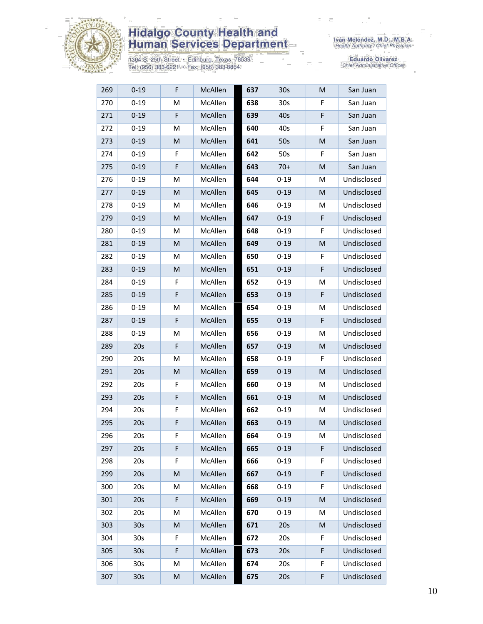

1304 S. 25th Street • Edinburg, Texas 78539<br>Tel: (956) 383-6221 • Fax: (956) 383-8864

| 269 | $0 - 19$        | F           | McAllen | 637 | 30 <sub>s</sub> | M | San Juan    |
|-----|-----------------|-------------|---------|-----|-----------------|---|-------------|
| 270 | $0 - 19$        | M           | McAllen | 638 | 30 <sub>s</sub> | F | San Juan    |
| 271 | $0 - 19$        | F           | McAllen | 639 | 40s             | F | San Juan    |
| 272 | $0 - 19$        | M           | McAllen | 640 | 40s             | F | San Juan    |
| 273 | $0 - 19$        | M           | McAllen | 641 | 50s             | M | San Juan    |
| 274 | $0 - 19$        | F           | McAllen | 642 | 50s             | F | San Juan    |
| 275 | $0 - 19$        | F           | McAllen | 643 | $70+$           | M | San Juan    |
| 276 | $0 - 19$        | M           | McAllen | 644 | $0 - 19$        | М | Undisclosed |
| 277 | $0 - 19$        | M           | McAllen | 645 | $0 - 19$        | M | Undisclosed |
| 278 | $0 - 19$        | М           | McAllen | 646 | $0 - 19$        | Μ | Undisclosed |
| 279 | $0 - 19$        | M           | McAllen | 647 | $0 - 19$        | F | Undisclosed |
| 280 | $0 - 19$        | M           | McAllen | 648 | $0 - 19$        | F | Undisclosed |
| 281 | $0 - 19$        | M           | McAllen | 649 | $0 - 19$        | M | Undisclosed |
| 282 | $0 - 19$        | M           | McAllen | 650 | $0 - 19$        | F | Undisclosed |
| 283 | $0 - 19$        | M           | McAllen | 651 | $0 - 19$        | F | Undisclosed |
| 284 | $0 - 19$        | F           | McAllen | 652 | $0 - 19$        | M | Undisclosed |
| 285 | $0 - 19$        | F           | McAllen | 653 | $0 - 19$        | F | Undisclosed |
| 286 | $0 - 19$        | M           | McAllen | 654 | $0 - 19$        | M | Undisclosed |
| 287 | $0 - 19$        | F           | McAllen | 655 | $0 - 19$        | F | Undisclosed |
| 288 | $0 - 19$        | M           | McAllen | 656 | $0 - 19$        | М | Undisclosed |
| 289 | 20s             | F           | McAllen | 657 | $0 - 19$        | M | Undisclosed |
| 290 | 20s             | M           | McAllen | 658 | $0 - 19$        | F | Undisclosed |
| 291 | 20s             | M           | McAllen | 659 | $0 - 19$        | M | Undisclosed |
| 292 | 20s             | F           | McAllen | 660 | $0 - 19$        | М | Undisclosed |
| 293 | 20s             | F           | McAllen | 661 | $0 - 19$        | M | Undisclosed |
| 294 | 20s             | F           | McAllen | 662 | $0 - 19$        | М | Undisclosed |
| 295 | 20s             | F           | McAllen | 663 | $0 - 19$        | M | Undisclosed |
| 296 | 20s             | F           | McAllen | 664 | $0 - 19$        | м | Undisclosed |
| 297 | 20s             | F           | McAllen | 665 | $0 - 19$        | F | Undisclosed |
| 298 | 20s             | F           | McAllen | 666 | $0 - 19$        | F | Undisclosed |
| 299 | 20s             | M           | McAllen | 667 | $0 - 19$        | F | Undisclosed |
| 300 | 20s             | M           | McAllen | 668 | $0 - 19$        | F | Undisclosed |
| 301 | 20s             | $\mathsf F$ | McAllen | 669 | $0 - 19$        | M | Undisclosed |
| 302 | 20s             | M           | McAllen | 670 | $0 - 19$        | M | Undisclosed |
| 303 | 30 <sub>s</sub> | ${\sf M}$   | McAllen | 671 | 20s             | M | Undisclosed |
| 304 | 30 <sub>s</sub> | F           | McAllen | 672 | 20s             | F | Undisclosed |
| 305 | 30 <sub>s</sub> | F           | McAllen | 673 | 20s             | F | Undisclosed |
| 306 | 30s             | M           | McAllen | 674 | 20s             | F | Undisclosed |
| 307 | 30 <sub>s</sub> | ${\sf M}$   | McAllen | 675 | 20s             | F | Undisclosed |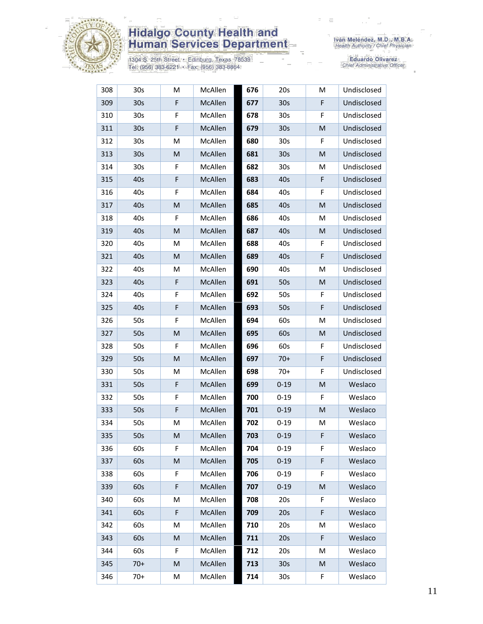

1304 S. 25th Street • Edinburg, Texas 78539<br>Tel: (956) 383-6221 • Fax: (956) 383-8864

| 308 | 30 <sub>s</sub> | M           | McAllen        | 676 | 20s             | M | Undisclosed |
|-----|-----------------|-------------|----------------|-----|-----------------|---|-------------|
| 309 | 30 <sub>s</sub> | $\mathsf F$ | McAllen        | 677 | 30 <sub>s</sub> | F | Undisclosed |
| 310 | 30 <sub>s</sub> | F           | McAllen        | 678 | 30 <sub>s</sub> | F | Undisclosed |
| 311 | 30 <sub>s</sub> | F           | McAllen        | 679 | 30 <sub>s</sub> | M | Undisclosed |
| 312 | 30 <sub>s</sub> | M           | McAllen        | 680 | 30 <sub>s</sub> | F | Undisclosed |
| 313 | 30 <sub>s</sub> | M           | McAllen        | 681 | 30 <sub>s</sub> | M | Undisclosed |
| 314 | 30 <sub>s</sub> | F           | McAllen        | 682 | 30 <sub>s</sub> | Μ | Undisclosed |
| 315 | 40s             | F           | McAllen        | 683 | 40s             | F | Undisclosed |
| 316 | 40s             | F           | McAllen        | 684 | 40s             | F | Undisclosed |
| 317 | 40s             | M           | McAllen        | 685 | 40s             | M | Undisclosed |
| 318 | 40s             | F           | McAllen        | 686 | 40s             | M | Undisclosed |
| 319 | 40s             | M           | McAllen        | 687 | 40s             | M | Undisclosed |
| 320 | 40s             | M           | McAllen        | 688 | 40s             | F | Undisclosed |
| 321 | 40s             | M           | McAllen        | 689 | 40s             | F | Undisclosed |
| 322 | 40s             | M           | McAllen        | 690 | 40s             | M | Undisclosed |
| 323 | 40s             | F           | McAllen        | 691 | 50s             | M | Undisclosed |
| 324 | 40s             | F           | McAllen        | 692 | 50s             | F | Undisclosed |
| 325 | 40s             | $\mathsf F$ | McAllen        | 693 | 50s             | F | Undisclosed |
| 326 | 50s             | F           | McAllen        | 694 | 60s             | M | Undisclosed |
| 327 | 50s             | ${\sf M}$   | McAllen        | 695 | 60s             | M | Undisclosed |
| 328 | 50s             | F           | McAllen        | 696 | 60s             | F | Undisclosed |
| 329 | 50s             | M           | McAllen        | 697 | $70+$           | F | Undisclosed |
| 330 | 50s             | M           | McAllen        | 698 | $70+$           | F | Undisclosed |
| 331 | 50s             | $\mathsf F$ | McAllen        | 699 | $0 - 19$        | M | Weslaco     |
| 332 | 50s             | F           | McAllen        | 700 | $0 - 19$        | F | Weslaco     |
| 333 | 50s             | $\mathsf F$ | McAllen        | 701 | $0 - 19$        | M | Weslaco     |
| 334 | 50s             | M           | McAllen        | 702 | $0 - 19$        | M | Weslaco     |
| 335 | 50s             | M           | <b>McAllen</b> | 703 | $0 - 19$        | F | Weslaco     |
| 336 | 60s             | F           | McAllen        | 704 | $0 - 19$        | F | Weslaco     |
| 337 | 60s             | M           | McAllen        | 705 | $0 - 19$        | F | Weslaco     |
| 338 | 60s             | F           | McAllen        | 706 | $0 - 19$        | F | Weslaco     |
| 339 | 60s             | F           | McAllen        | 707 | $0 - 19$        | M | Weslaco     |
| 340 | 60s             | M           | McAllen        | 708 | 20s             | F | Weslaco     |
| 341 | 60s             | F           | McAllen        | 709 | 20s             | F | Weslaco     |
| 342 | 60s             | M           | McAllen        | 710 | 20s             | M | Weslaco     |
| 343 | 60s             | M           | McAllen        | 711 | 20s             | F | Weslaco     |
| 344 | 60s             | F           | McAllen        | 712 | 20s             | M | Weslaco     |
| 345 | $70+$           | M           | McAllen        | 713 | 30 <sub>s</sub> | M | Weslaco     |
| 346 | $70+$           | M           | McAllen        | 714 | 30 <sub>s</sub> | F | Weslaco     |